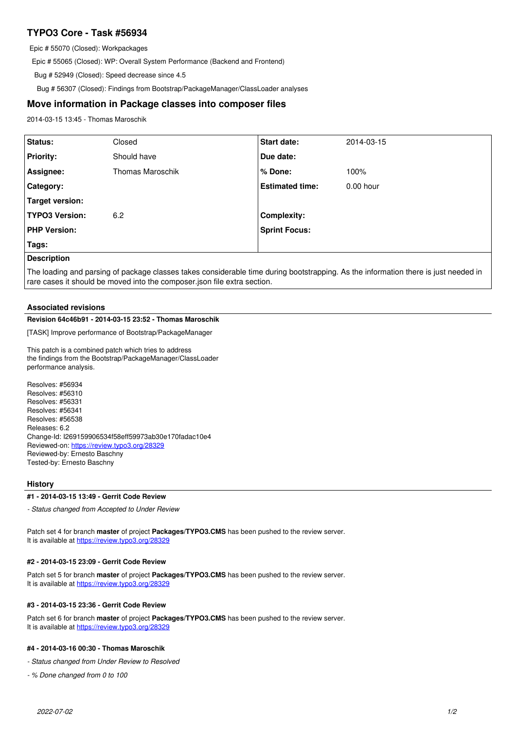# **TYPO3 Core - Task #56934**

Epic # 55070 (Closed): Workpackages

Epic # 55065 (Closed): WP: Overall System Performance (Backend and Frontend)

Bug # 52949 (Closed): Speed decrease since 4.5

Bug # 56307 (Closed): Findings from Bootstrap/PackageManager/ClassLoader analyses

# **Move information in Package classes into composer files**

2014-03-15 13:45 - Thomas Maroschik

| <b>Status:</b>        | Closed                  | Start date:            | 2014-03-15  |
|-----------------------|-------------------------|------------------------|-------------|
| <b>Priority:</b>      | Should have             | Due date:              |             |
| Assignee:             | <b>Thomas Maroschik</b> | % Done:                | 100%        |
| Category:             |                         | <b>Estimated time:</b> | $0.00$ hour |
| Target version:       |                         |                        |             |
| <b>TYPO3 Version:</b> | 6.2                     | <b>Complexity:</b>     |             |
| <b>PHP Version:</b>   |                         | <b>Sprint Focus:</b>   |             |
| Tags:                 |                         |                        |             |
| <b>Description</b>    |                         |                        |             |

The loading and parsing of package classes takes considerable time during bootstrapping. As the information there is just needed in rare cases it should be moved into the composer.json file extra section.

## **Associated revisions**

### **Revision 64c46b91 - 2014-03-15 23:52 - Thomas Maroschik**

[TASK] Improve performance of Bootstrap/PackageManager

This patch is a combined patch which tries to address the findings from the Bootstrap/PackageManager/ClassLoader performance analysis.

Resolves: #56934 Resolves: #56310 Resolves: #56331 Resolves: #56341 Resolves: #56538 Releases: 6.2 Change-Id: I269159906534f58eff59973ab30e170fadac10e4 Reviewed-on:<https://review.typo3.org/28329> Reviewed-by: Ernesto Baschny Tested-by: Ernesto Baschny

### **History**

#### **#1 - 2014-03-15 13:49 - Gerrit Code Review**

*- Status changed from Accepted to Under Review*

Patch set 4 for branch **master** of project **Packages/TYPO3.CMS** has been pushed to the review server. It is available at <https://review.typo3.org/28329>

#### **#2 - 2014-03-15 23:09 - Gerrit Code Review**

Patch set 5 for branch **master** of project **Packages/TYPO3.CMS** has been pushed to the review server. It is available at <https://review.typo3.org/28329>

#### **#3 - 2014-03-15 23:36 - Gerrit Code Review**

Patch set 6 for branch **master** of project **Packages/TYPO3.CMS** has been pushed to the review server. It is available at <https://review.typo3.org/28329>

### **#4 - 2014-03-16 00:30 - Thomas Maroschik**

*- Status changed from Under Review to Resolved*

*- % Done changed from 0 to 100*